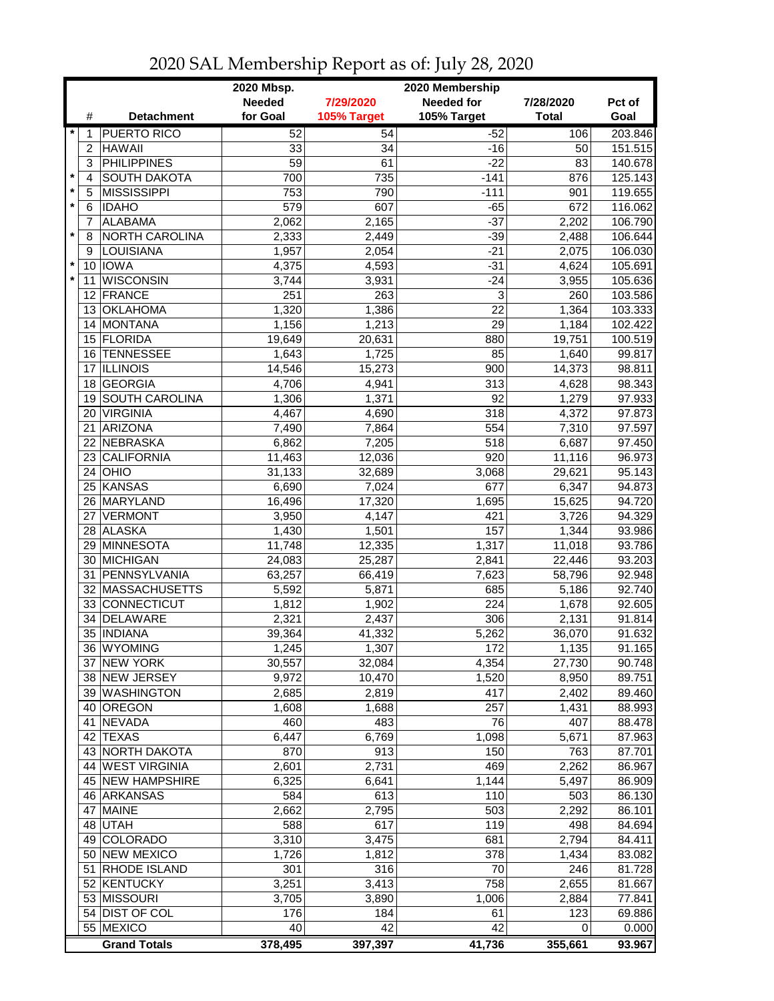| <b>Needed</b><br><b>Needed for</b><br>7/29/2020<br>7/28/2020<br>Pct of<br>for Goal<br>105% Target<br>105% Target<br><b>Total</b><br>Goal<br>#<br><b>Detachment</b><br>203.846<br>$\star$<br><b>PUERTO RICO</b><br>52<br>54<br>$-52$<br>106<br>1<br><b>HAWAII</b><br>33<br>34<br>$-16$<br>151.515<br>$\overline{2}$<br>50<br><b>PHILIPPINES</b><br>3<br>59<br>61<br>$-22$<br>83<br>140.678<br>$\star$<br><b>SOUTH DAKOTA</b><br>735<br>125.143<br>4<br>700<br>$-141$<br>876<br>$\pmb{\ast}$<br>5<br><b>MISSISSIPPI</b><br>753<br>790<br>$-111$<br>119.655<br>901<br>$\star$<br>607<br>6<br><b>IDAHO</b><br>579<br>$-65$<br>672<br>116.062<br><b>ALABAMA</b><br>$-37$<br>2,062<br>2,202<br>106.790<br>7<br>2,165<br>$\star$<br>NORTH CAROLINA<br>$-39$<br>106.644<br>8<br>2,333<br>2,449<br>2,488<br>LOUISIANA<br>2,054<br>$-21$<br>9<br>1,957<br>2,075<br>106.030<br>$\star$<br>10 IOWA<br>4,375<br>4,593<br>$-31$<br>4,624<br>105.691<br>$\star$<br><b>WISCONSIN</b><br>$-24$<br>11<br>3,744<br>3,931<br>3,955<br>105.636<br>251<br>263<br>3<br>12 FRANCE<br>260<br>103.586<br>1,386<br>22<br>13 OKLAHOMA<br>1,320<br>1,364<br>103.333<br>14 MONTANA<br>1,156<br>1,213<br>29<br>1,184<br>102.422<br>15 FLORIDA<br>19,649<br>20,631<br>880<br>100.519<br>19,751<br>16 TENNESSEE<br>1,725<br>85<br>1,640<br>99.817<br>1,643<br><b>ILLINOIS</b><br>15,273<br>900<br>14,373<br>98.811<br>14,546<br>17<br>18 GEORGIA<br>4,706<br>313<br>4,628<br>98.343<br>4,941<br><b>SOUTH CAROLINA</b><br>92<br>1,279<br>97.933<br>1,306<br>1,371<br>19<br>97.873<br><b>VIRGINIA</b><br>318<br>4,372<br>20<br>4,467<br>4,690<br>ARIZONA<br>554<br>97.597<br>21<br>7,490<br>7,864<br>7,310<br>NEBRASKA<br>518<br>97.450<br>22<br>6,862<br>6,687<br>7,205<br>$\overline{920}$<br><b>CALIFORNIA</b><br>96.973<br>23<br>11,463<br>12,036<br>11,116<br>OHIO<br>3,068<br>31,133<br>32,689<br>29,621<br>95.143<br>24<br>KANSAS<br>677<br>94.873<br>25<br>6,690<br>7,024<br>6,347<br>MARYLAND<br>94.720<br>16,496<br>17,320<br>1,695<br>15,625<br>26<br>421<br>27 VERMONT<br>4,147<br>94.329<br>3,950<br>3,726<br>157<br>28 ALASKA<br>1,430<br>1,501<br>1,344<br>93.986<br>12,335<br>1,317<br>29 MINNESOTA<br>11,748<br>11,018<br>93.786<br>93.203<br>30 MICHIGAN<br>2,841<br>24,083<br>25,287<br>22,446<br>31 PENNSYLVANIA<br>7,623<br>92.948<br>63,257<br>66,419<br>58,796<br>32 MASSACHUSETTS<br>685<br>92.740<br>5,592<br>5,871<br>5,186<br>224<br>33 CONNECTICUT<br>1,902<br>92.605<br>1,812<br>1,678<br>DELAWARE<br>2,321<br>2,437<br>306<br>91.814<br>34<br>2,131<br>35 INDIANA<br>5,262<br>91.632<br>39,364<br>41,332<br>36,070<br>36 WYOMING<br>1,245<br>1,307<br>1,135<br>91.165<br>172<br>37 NEW YORK<br>30,557<br>4,354<br>27,730<br>90.748<br>32,084<br>89.751<br>38 NEW JERSEY<br>9,972<br>8,950<br>10,470<br>1,520<br>39 WASHINGTON<br>417<br>89.460<br>2,685<br>2,819<br>2,402<br>257<br>40 OREGON<br>1,608<br>88.993<br>1,688<br>1,431<br>483<br>41 NEVADA<br>460<br>76<br>407<br>88.478<br>42 TEXAS<br>6,447<br>6,769<br>1,098<br>5,671<br>87.963<br>913<br>150<br>43 NORTH DAKOTA<br>870<br>763<br>87.701<br>44 WEST VIRGINIA<br>2,731<br>469<br>2,262<br>2,601<br>86.967<br>45 NEW HAMPSHIRE<br>6,325<br>1,144<br>5,497<br>86.909<br>6,641<br>613<br>110<br>46 ARKANSAS<br>584<br>503<br>86.130<br>2,662<br>2,795<br>47 MAINE<br>503<br>2,292<br>86.101<br>617<br>119<br>48 UTAH<br>588<br>498<br>84.694<br>3,310<br>681<br>49 COLORADO<br>3,475<br>2,794<br>84.411<br>50 NEW MEXICO<br>1,726<br>1,812<br>378<br>1,434<br>83.082<br>51 RHODE ISLAND<br>301<br>316<br>70<br>246<br>81.728<br>52 KENTUCKY<br>3,251<br>3,413<br>758<br>2,655<br>81.667<br>53 MISSOURI<br>77.841<br>3,705<br>3,890<br>1,006<br>2,884<br>54 DIST OF COL<br>123<br>69.886<br>176<br>184<br>61<br>55 MEXICO<br>42<br>42<br>40<br>0.000<br>0<br><b>Grand Totals</b><br>378,495<br>397,397<br>41,736<br>355,661<br>93.967 |  | 2020 Mbsp.<br>2020 Membership |  |  |  |  |  |
|--------------------------------------------------------------------------------------------------------------------------------------------------------------------------------------------------------------------------------------------------------------------------------------------------------------------------------------------------------------------------------------------------------------------------------------------------------------------------------------------------------------------------------------------------------------------------------------------------------------------------------------------------------------------------------------------------------------------------------------------------------------------------------------------------------------------------------------------------------------------------------------------------------------------------------------------------------------------------------------------------------------------------------------------------------------------------------------------------------------------------------------------------------------------------------------------------------------------------------------------------------------------------------------------------------------------------------------------------------------------------------------------------------------------------------------------------------------------------------------------------------------------------------------------------------------------------------------------------------------------------------------------------------------------------------------------------------------------------------------------------------------------------------------------------------------------------------------------------------------------------------------------------------------------------------------------------------------------------------------------------------------------------------------------------------------------------------------------------------------------------------------------------------------------------------------------------------------------------------------------------------------------------------------------------------------------------------------------------------------------------------------------------------------------------------------------------------------------------------------------------------------------------------------------------------------------------------------------------------------------------------------------------------------------------------------------------------------------------------------------------------------------------------------------------------------------------------------------------------------------------------------------------------------------------------------------------------------------------------------------------------------------------------------------------------------------------------------------------------------------------------------------------------------------------------------------------------------------------------------------------------------------------------------------------------------------------------------------------------------------------------------------------------------------------------------------------------------------------------------------------------------------------------------------------------------------------------------------------------------------------------------------------------------------------------------------------------------------------------------------------------------------------------------------------------------------------------------------------------------------------------------------|--|-------------------------------|--|--|--|--|--|
|                                                                                                                                                                                                                                                                                                                                                                                                                                                                                                                                                                                                                                                                                                                                                                                                                                                                                                                                                                                                                                                                                                                                                                                                                                                                                                                                                                                                                                                                                                                                                                                                                                                                                                                                                                                                                                                                                                                                                                                                                                                                                                                                                                                                                                                                                                                                                                                                                                                                                                                                                                                                                                                                                                                                                                                                                                                                                                                                                                                                                                                                                                                                                                                                                                                                                                                                                                                                                                                                                                                                                                                                                                                                                                                                                                                                                                                                                            |  |                               |  |  |  |  |  |
|                                                                                                                                                                                                                                                                                                                                                                                                                                                                                                                                                                                                                                                                                                                                                                                                                                                                                                                                                                                                                                                                                                                                                                                                                                                                                                                                                                                                                                                                                                                                                                                                                                                                                                                                                                                                                                                                                                                                                                                                                                                                                                                                                                                                                                                                                                                                                                                                                                                                                                                                                                                                                                                                                                                                                                                                                                                                                                                                                                                                                                                                                                                                                                                                                                                                                                                                                                                                                                                                                                                                                                                                                                                                                                                                                                                                                                                                                            |  |                               |  |  |  |  |  |
|                                                                                                                                                                                                                                                                                                                                                                                                                                                                                                                                                                                                                                                                                                                                                                                                                                                                                                                                                                                                                                                                                                                                                                                                                                                                                                                                                                                                                                                                                                                                                                                                                                                                                                                                                                                                                                                                                                                                                                                                                                                                                                                                                                                                                                                                                                                                                                                                                                                                                                                                                                                                                                                                                                                                                                                                                                                                                                                                                                                                                                                                                                                                                                                                                                                                                                                                                                                                                                                                                                                                                                                                                                                                                                                                                                                                                                                                                            |  |                               |  |  |  |  |  |
|                                                                                                                                                                                                                                                                                                                                                                                                                                                                                                                                                                                                                                                                                                                                                                                                                                                                                                                                                                                                                                                                                                                                                                                                                                                                                                                                                                                                                                                                                                                                                                                                                                                                                                                                                                                                                                                                                                                                                                                                                                                                                                                                                                                                                                                                                                                                                                                                                                                                                                                                                                                                                                                                                                                                                                                                                                                                                                                                                                                                                                                                                                                                                                                                                                                                                                                                                                                                                                                                                                                                                                                                                                                                                                                                                                                                                                                                                            |  |                               |  |  |  |  |  |
|                                                                                                                                                                                                                                                                                                                                                                                                                                                                                                                                                                                                                                                                                                                                                                                                                                                                                                                                                                                                                                                                                                                                                                                                                                                                                                                                                                                                                                                                                                                                                                                                                                                                                                                                                                                                                                                                                                                                                                                                                                                                                                                                                                                                                                                                                                                                                                                                                                                                                                                                                                                                                                                                                                                                                                                                                                                                                                                                                                                                                                                                                                                                                                                                                                                                                                                                                                                                                                                                                                                                                                                                                                                                                                                                                                                                                                                                                            |  |                               |  |  |  |  |  |
|                                                                                                                                                                                                                                                                                                                                                                                                                                                                                                                                                                                                                                                                                                                                                                                                                                                                                                                                                                                                                                                                                                                                                                                                                                                                                                                                                                                                                                                                                                                                                                                                                                                                                                                                                                                                                                                                                                                                                                                                                                                                                                                                                                                                                                                                                                                                                                                                                                                                                                                                                                                                                                                                                                                                                                                                                                                                                                                                                                                                                                                                                                                                                                                                                                                                                                                                                                                                                                                                                                                                                                                                                                                                                                                                                                                                                                                                                            |  |                               |  |  |  |  |  |
|                                                                                                                                                                                                                                                                                                                                                                                                                                                                                                                                                                                                                                                                                                                                                                                                                                                                                                                                                                                                                                                                                                                                                                                                                                                                                                                                                                                                                                                                                                                                                                                                                                                                                                                                                                                                                                                                                                                                                                                                                                                                                                                                                                                                                                                                                                                                                                                                                                                                                                                                                                                                                                                                                                                                                                                                                                                                                                                                                                                                                                                                                                                                                                                                                                                                                                                                                                                                                                                                                                                                                                                                                                                                                                                                                                                                                                                                                            |  |                               |  |  |  |  |  |
|                                                                                                                                                                                                                                                                                                                                                                                                                                                                                                                                                                                                                                                                                                                                                                                                                                                                                                                                                                                                                                                                                                                                                                                                                                                                                                                                                                                                                                                                                                                                                                                                                                                                                                                                                                                                                                                                                                                                                                                                                                                                                                                                                                                                                                                                                                                                                                                                                                                                                                                                                                                                                                                                                                                                                                                                                                                                                                                                                                                                                                                                                                                                                                                                                                                                                                                                                                                                                                                                                                                                                                                                                                                                                                                                                                                                                                                                                            |  |                               |  |  |  |  |  |
|                                                                                                                                                                                                                                                                                                                                                                                                                                                                                                                                                                                                                                                                                                                                                                                                                                                                                                                                                                                                                                                                                                                                                                                                                                                                                                                                                                                                                                                                                                                                                                                                                                                                                                                                                                                                                                                                                                                                                                                                                                                                                                                                                                                                                                                                                                                                                                                                                                                                                                                                                                                                                                                                                                                                                                                                                                                                                                                                                                                                                                                                                                                                                                                                                                                                                                                                                                                                                                                                                                                                                                                                                                                                                                                                                                                                                                                                                            |  |                               |  |  |  |  |  |
|                                                                                                                                                                                                                                                                                                                                                                                                                                                                                                                                                                                                                                                                                                                                                                                                                                                                                                                                                                                                                                                                                                                                                                                                                                                                                                                                                                                                                                                                                                                                                                                                                                                                                                                                                                                                                                                                                                                                                                                                                                                                                                                                                                                                                                                                                                                                                                                                                                                                                                                                                                                                                                                                                                                                                                                                                                                                                                                                                                                                                                                                                                                                                                                                                                                                                                                                                                                                                                                                                                                                                                                                                                                                                                                                                                                                                                                                                            |  |                               |  |  |  |  |  |
|                                                                                                                                                                                                                                                                                                                                                                                                                                                                                                                                                                                                                                                                                                                                                                                                                                                                                                                                                                                                                                                                                                                                                                                                                                                                                                                                                                                                                                                                                                                                                                                                                                                                                                                                                                                                                                                                                                                                                                                                                                                                                                                                                                                                                                                                                                                                                                                                                                                                                                                                                                                                                                                                                                                                                                                                                                                                                                                                                                                                                                                                                                                                                                                                                                                                                                                                                                                                                                                                                                                                                                                                                                                                                                                                                                                                                                                                                            |  |                               |  |  |  |  |  |
|                                                                                                                                                                                                                                                                                                                                                                                                                                                                                                                                                                                                                                                                                                                                                                                                                                                                                                                                                                                                                                                                                                                                                                                                                                                                                                                                                                                                                                                                                                                                                                                                                                                                                                                                                                                                                                                                                                                                                                                                                                                                                                                                                                                                                                                                                                                                                                                                                                                                                                                                                                                                                                                                                                                                                                                                                                                                                                                                                                                                                                                                                                                                                                                                                                                                                                                                                                                                                                                                                                                                                                                                                                                                                                                                                                                                                                                                                            |  |                               |  |  |  |  |  |
|                                                                                                                                                                                                                                                                                                                                                                                                                                                                                                                                                                                                                                                                                                                                                                                                                                                                                                                                                                                                                                                                                                                                                                                                                                                                                                                                                                                                                                                                                                                                                                                                                                                                                                                                                                                                                                                                                                                                                                                                                                                                                                                                                                                                                                                                                                                                                                                                                                                                                                                                                                                                                                                                                                                                                                                                                                                                                                                                                                                                                                                                                                                                                                                                                                                                                                                                                                                                                                                                                                                                                                                                                                                                                                                                                                                                                                                                                            |  |                               |  |  |  |  |  |
|                                                                                                                                                                                                                                                                                                                                                                                                                                                                                                                                                                                                                                                                                                                                                                                                                                                                                                                                                                                                                                                                                                                                                                                                                                                                                                                                                                                                                                                                                                                                                                                                                                                                                                                                                                                                                                                                                                                                                                                                                                                                                                                                                                                                                                                                                                                                                                                                                                                                                                                                                                                                                                                                                                                                                                                                                                                                                                                                                                                                                                                                                                                                                                                                                                                                                                                                                                                                                                                                                                                                                                                                                                                                                                                                                                                                                                                                                            |  |                               |  |  |  |  |  |
|                                                                                                                                                                                                                                                                                                                                                                                                                                                                                                                                                                                                                                                                                                                                                                                                                                                                                                                                                                                                                                                                                                                                                                                                                                                                                                                                                                                                                                                                                                                                                                                                                                                                                                                                                                                                                                                                                                                                                                                                                                                                                                                                                                                                                                                                                                                                                                                                                                                                                                                                                                                                                                                                                                                                                                                                                                                                                                                                                                                                                                                                                                                                                                                                                                                                                                                                                                                                                                                                                                                                                                                                                                                                                                                                                                                                                                                                                            |  |                               |  |  |  |  |  |
|                                                                                                                                                                                                                                                                                                                                                                                                                                                                                                                                                                                                                                                                                                                                                                                                                                                                                                                                                                                                                                                                                                                                                                                                                                                                                                                                                                                                                                                                                                                                                                                                                                                                                                                                                                                                                                                                                                                                                                                                                                                                                                                                                                                                                                                                                                                                                                                                                                                                                                                                                                                                                                                                                                                                                                                                                                                                                                                                                                                                                                                                                                                                                                                                                                                                                                                                                                                                                                                                                                                                                                                                                                                                                                                                                                                                                                                                                            |  |                               |  |  |  |  |  |
|                                                                                                                                                                                                                                                                                                                                                                                                                                                                                                                                                                                                                                                                                                                                                                                                                                                                                                                                                                                                                                                                                                                                                                                                                                                                                                                                                                                                                                                                                                                                                                                                                                                                                                                                                                                                                                                                                                                                                                                                                                                                                                                                                                                                                                                                                                                                                                                                                                                                                                                                                                                                                                                                                                                                                                                                                                                                                                                                                                                                                                                                                                                                                                                                                                                                                                                                                                                                                                                                                                                                                                                                                                                                                                                                                                                                                                                                                            |  |                               |  |  |  |  |  |
|                                                                                                                                                                                                                                                                                                                                                                                                                                                                                                                                                                                                                                                                                                                                                                                                                                                                                                                                                                                                                                                                                                                                                                                                                                                                                                                                                                                                                                                                                                                                                                                                                                                                                                                                                                                                                                                                                                                                                                                                                                                                                                                                                                                                                                                                                                                                                                                                                                                                                                                                                                                                                                                                                                                                                                                                                                                                                                                                                                                                                                                                                                                                                                                                                                                                                                                                                                                                                                                                                                                                                                                                                                                                                                                                                                                                                                                                                            |  |                               |  |  |  |  |  |
|                                                                                                                                                                                                                                                                                                                                                                                                                                                                                                                                                                                                                                                                                                                                                                                                                                                                                                                                                                                                                                                                                                                                                                                                                                                                                                                                                                                                                                                                                                                                                                                                                                                                                                                                                                                                                                                                                                                                                                                                                                                                                                                                                                                                                                                                                                                                                                                                                                                                                                                                                                                                                                                                                                                                                                                                                                                                                                                                                                                                                                                                                                                                                                                                                                                                                                                                                                                                                                                                                                                                                                                                                                                                                                                                                                                                                                                                                            |  |                               |  |  |  |  |  |
|                                                                                                                                                                                                                                                                                                                                                                                                                                                                                                                                                                                                                                                                                                                                                                                                                                                                                                                                                                                                                                                                                                                                                                                                                                                                                                                                                                                                                                                                                                                                                                                                                                                                                                                                                                                                                                                                                                                                                                                                                                                                                                                                                                                                                                                                                                                                                                                                                                                                                                                                                                                                                                                                                                                                                                                                                                                                                                                                                                                                                                                                                                                                                                                                                                                                                                                                                                                                                                                                                                                                                                                                                                                                                                                                                                                                                                                                                            |  |                               |  |  |  |  |  |
|                                                                                                                                                                                                                                                                                                                                                                                                                                                                                                                                                                                                                                                                                                                                                                                                                                                                                                                                                                                                                                                                                                                                                                                                                                                                                                                                                                                                                                                                                                                                                                                                                                                                                                                                                                                                                                                                                                                                                                                                                                                                                                                                                                                                                                                                                                                                                                                                                                                                                                                                                                                                                                                                                                                                                                                                                                                                                                                                                                                                                                                                                                                                                                                                                                                                                                                                                                                                                                                                                                                                                                                                                                                                                                                                                                                                                                                                                            |  |                               |  |  |  |  |  |
|                                                                                                                                                                                                                                                                                                                                                                                                                                                                                                                                                                                                                                                                                                                                                                                                                                                                                                                                                                                                                                                                                                                                                                                                                                                                                                                                                                                                                                                                                                                                                                                                                                                                                                                                                                                                                                                                                                                                                                                                                                                                                                                                                                                                                                                                                                                                                                                                                                                                                                                                                                                                                                                                                                                                                                                                                                                                                                                                                                                                                                                                                                                                                                                                                                                                                                                                                                                                                                                                                                                                                                                                                                                                                                                                                                                                                                                                                            |  |                               |  |  |  |  |  |
|                                                                                                                                                                                                                                                                                                                                                                                                                                                                                                                                                                                                                                                                                                                                                                                                                                                                                                                                                                                                                                                                                                                                                                                                                                                                                                                                                                                                                                                                                                                                                                                                                                                                                                                                                                                                                                                                                                                                                                                                                                                                                                                                                                                                                                                                                                                                                                                                                                                                                                                                                                                                                                                                                                                                                                                                                                                                                                                                                                                                                                                                                                                                                                                                                                                                                                                                                                                                                                                                                                                                                                                                                                                                                                                                                                                                                                                                                            |  |                               |  |  |  |  |  |
|                                                                                                                                                                                                                                                                                                                                                                                                                                                                                                                                                                                                                                                                                                                                                                                                                                                                                                                                                                                                                                                                                                                                                                                                                                                                                                                                                                                                                                                                                                                                                                                                                                                                                                                                                                                                                                                                                                                                                                                                                                                                                                                                                                                                                                                                                                                                                                                                                                                                                                                                                                                                                                                                                                                                                                                                                                                                                                                                                                                                                                                                                                                                                                                                                                                                                                                                                                                                                                                                                                                                                                                                                                                                                                                                                                                                                                                                                            |  |                               |  |  |  |  |  |
|                                                                                                                                                                                                                                                                                                                                                                                                                                                                                                                                                                                                                                                                                                                                                                                                                                                                                                                                                                                                                                                                                                                                                                                                                                                                                                                                                                                                                                                                                                                                                                                                                                                                                                                                                                                                                                                                                                                                                                                                                                                                                                                                                                                                                                                                                                                                                                                                                                                                                                                                                                                                                                                                                                                                                                                                                                                                                                                                                                                                                                                                                                                                                                                                                                                                                                                                                                                                                                                                                                                                                                                                                                                                                                                                                                                                                                                                                            |  |                               |  |  |  |  |  |
|                                                                                                                                                                                                                                                                                                                                                                                                                                                                                                                                                                                                                                                                                                                                                                                                                                                                                                                                                                                                                                                                                                                                                                                                                                                                                                                                                                                                                                                                                                                                                                                                                                                                                                                                                                                                                                                                                                                                                                                                                                                                                                                                                                                                                                                                                                                                                                                                                                                                                                                                                                                                                                                                                                                                                                                                                                                                                                                                                                                                                                                                                                                                                                                                                                                                                                                                                                                                                                                                                                                                                                                                                                                                                                                                                                                                                                                                                            |  |                               |  |  |  |  |  |
|                                                                                                                                                                                                                                                                                                                                                                                                                                                                                                                                                                                                                                                                                                                                                                                                                                                                                                                                                                                                                                                                                                                                                                                                                                                                                                                                                                                                                                                                                                                                                                                                                                                                                                                                                                                                                                                                                                                                                                                                                                                                                                                                                                                                                                                                                                                                                                                                                                                                                                                                                                                                                                                                                                                                                                                                                                                                                                                                                                                                                                                                                                                                                                                                                                                                                                                                                                                                                                                                                                                                                                                                                                                                                                                                                                                                                                                                                            |  |                               |  |  |  |  |  |
|                                                                                                                                                                                                                                                                                                                                                                                                                                                                                                                                                                                                                                                                                                                                                                                                                                                                                                                                                                                                                                                                                                                                                                                                                                                                                                                                                                                                                                                                                                                                                                                                                                                                                                                                                                                                                                                                                                                                                                                                                                                                                                                                                                                                                                                                                                                                                                                                                                                                                                                                                                                                                                                                                                                                                                                                                                                                                                                                                                                                                                                                                                                                                                                                                                                                                                                                                                                                                                                                                                                                                                                                                                                                                                                                                                                                                                                                                            |  |                               |  |  |  |  |  |
|                                                                                                                                                                                                                                                                                                                                                                                                                                                                                                                                                                                                                                                                                                                                                                                                                                                                                                                                                                                                                                                                                                                                                                                                                                                                                                                                                                                                                                                                                                                                                                                                                                                                                                                                                                                                                                                                                                                                                                                                                                                                                                                                                                                                                                                                                                                                                                                                                                                                                                                                                                                                                                                                                                                                                                                                                                                                                                                                                                                                                                                                                                                                                                                                                                                                                                                                                                                                                                                                                                                                                                                                                                                                                                                                                                                                                                                                                            |  |                               |  |  |  |  |  |
|                                                                                                                                                                                                                                                                                                                                                                                                                                                                                                                                                                                                                                                                                                                                                                                                                                                                                                                                                                                                                                                                                                                                                                                                                                                                                                                                                                                                                                                                                                                                                                                                                                                                                                                                                                                                                                                                                                                                                                                                                                                                                                                                                                                                                                                                                                                                                                                                                                                                                                                                                                                                                                                                                                                                                                                                                                                                                                                                                                                                                                                                                                                                                                                                                                                                                                                                                                                                                                                                                                                                                                                                                                                                                                                                                                                                                                                                                            |  |                               |  |  |  |  |  |
|                                                                                                                                                                                                                                                                                                                                                                                                                                                                                                                                                                                                                                                                                                                                                                                                                                                                                                                                                                                                                                                                                                                                                                                                                                                                                                                                                                                                                                                                                                                                                                                                                                                                                                                                                                                                                                                                                                                                                                                                                                                                                                                                                                                                                                                                                                                                                                                                                                                                                                                                                                                                                                                                                                                                                                                                                                                                                                                                                                                                                                                                                                                                                                                                                                                                                                                                                                                                                                                                                                                                                                                                                                                                                                                                                                                                                                                                                            |  |                               |  |  |  |  |  |
|                                                                                                                                                                                                                                                                                                                                                                                                                                                                                                                                                                                                                                                                                                                                                                                                                                                                                                                                                                                                                                                                                                                                                                                                                                                                                                                                                                                                                                                                                                                                                                                                                                                                                                                                                                                                                                                                                                                                                                                                                                                                                                                                                                                                                                                                                                                                                                                                                                                                                                                                                                                                                                                                                                                                                                                                                                                                                                                                                                                                                                                                                                                                                                                                                                                                                                                                                                                                                                                                                                                                                                                                                                                                                                                                                                                                                                                                                            |  |                               |  |  |  |  |  |
|                                                                                                                                                                                                                                                                                                                                                                                                                                                                                                                                                                                                                                                                                                                                                                                                                                                                                                                                                                                                                                                                                                                                                                                                                                                                                                                                                                                                                                                                                                                                                                                                                                                                                                                                                                                                                                                                                                                                                                                                                                                                                                                                                                                                                                                                                                                                                                                                                                                                                                                                                                                                                                                                                                                                                                                                                                                                                                                                                                                                                                                                                                                                                                                                                                                                                                                                                                                                                                                                                                                                                                                                                                                                                                                                                                                                                                                                                            |  |                               |  |  |  |  |  |
|                                                                                                                                                                                                                                                                                                                                                                                                                                                                                                                                                                                                                                                                                                                                                                                                                                                                                                                                                                                                                                                                                                                                                                                                                                                                                                                                                                                                                                                                                                                                                                                                                                                                                                                                                                                                                                                                                                                                                                                                                                                                                                                                                                                                                                                                                                                                                                                                                                                                                                                                                                                                                                                                                                                                                                                                                                                                                                                                                                                                                                                                                                                                                                                                                                                                                                                                                                                                                                                                                                                                                                                                                                                                                                                                                                                                                                                                                            |  |                               |  |  |  |  |  |
|                                                                                                                                                                                                                                                                                                                                                                                                                                                                                                                                                                                                                                                                                                                                                                                                                                                                                                                                                                                                                                                                                                                                                                                                                                                                                                                                                                                                                                                                                                                                                                                                                                                                                                                                                                                                                                                                                                                                                                                                                                                                                                                                                                                                                                                                                                                                                                                                                                                                                                                                                                                                                                                                                                                                                                                                                                                                                                                                                                                                                                                                                                                                                                                                                                                                                                                                                                                                                                                                                                                                                                                                                                                                                                                                                                                                                                                                                            |  |                               |  |  |  |  |  |
|                                                                                                                                                                                                                                                                                                                                                                                                                                                                                                                                                                                                                                                                                                                                                                                                                                                                                                                                                                                                                                                                                                                                                                                                                                                                                                                                                                                                                                                                                                                                                                                                                                                                                                                                                                                                                                                                                                                                                                                                                                                                                                                                                                                                                                                                                                                                                                                                                                                                                                                                                                                                                                                                                                                                                                                                                                                                                                                                                                                                                                                                                                                                                                                                                                                                                                                                                                                                                                                                                                                                                                                                                                                                                                                                                                                                                                                                                            |  |                               |  |  |  |  |  |
|                                                                                                                                                                                                                                                                                                                                                                                                                                                                                                                                                                                                                                                                                                                                                                                                                                                                                                                                                                                                                                                                                                                                                                                                                                                                                                                                                                                                                                                                                                                                                                                                                                                                                                                                                                                                                                                                                                                                                                                                                                                                                                                                                                                                                                                                                                                                                                                                                                                                                                                                                                                                                                                                                                                                                                                                                                                                                                                                                                                                                                                                                                                                                                                                                                                                                                                                                                                                                                                                                                                                                                                                                                                                                                                                                                                                                                                                                            |  |                               |  |  |  |  |  |
|                                                                                                                                                                                                                                                                                                                                                                                                                                                                                                                                                                                                                                                                                                                                                                                                                                                                                                                                                                                                                                                                                                                                                                                                                                                                                                                                                                                                                                                                                                                                                                                                                                                                                                                                                                                                                                                                                                                                                                                                                                                                                                                                                                                                                                                                                                                                                                                                                                                                                                                                                                                                                                                                                                                                                                                                                                                                                                                                                                                                                                                                                                                                                                                                                                                                                                                                                                                                                                                                                                                                                                                                                                                                                                                                                                                                                                                                                            |  |                               |  |  |  |  |  |
|                                                                                                                                                                                                                                                                                                                                                                                                                                                                                                                                                                                                                                                                                                                                                                                                                                                                                                                                                                                                                                                                                                                                                                                                                                                                                                                                                                                                                                                                                                                                                                                                                                                                                                                                                                                                                                                                                                                                                                                                                                                                                                                                                                                                                                                                                                                                                                                                                                                                                                                                                                                                                                                                                                                                                                                                                                                                                                                                                                                                                                                                                                                                                                                                                                                                                                                                                                                                                                                                                                                                                                                                                                                                                                                                                                                                                                                                                            |  |                               |  |  |  |  |  |
|                                                                                                                                                                                                                                                                                                                                                                                                                                                                                                                                                                                                                                                                                                                                                                                                                                                                                                                                                                                                                                                                                                                                                                                                                                                                                                                                                                                                                                                                                                                                                                                                                                                                                                                                                                                                                                                                                                                                                                                                                                                                                                                                                                                                                                                                                                                                                                                                                                                                                                                                                                                                                                                                                                                                                                                                                                                                                                                                                                                                                                                                                                                                                                                                                                                                                                                                                                                                                                                                                                                                                                                                                                                                                                                                                                                                                                                                                            |  |                               |  |  |  |  |  |
|                                                                                                                                                                                                                                                                                                                                                                                                                                                                                                                                                                                                                                                                                                                                                                                                                                                                                                                                                                                                                                                                                                                                                                                                                                                                                                                                                                                                                                                                                                                                                                                                                                                                                                                                                                                                                                                                                                                                                                                                                                                                                                                                                                                                                                                                                                                                                                                                                                                                                                                                                                                                                                                                                                                                                                                                                                                                                                                                                                                                                                                                                                                                                                                                                                                                                                                                                                                                                                                                                                                                                                                                                                                                                                                                                                                                                                                                                            |  |                               |  |  |  |  |  |
|                                                                                                                                                                                                                                                                                                                                                                                                                                                                                                                                                                                                                                                                                                                                                                                                                                                                                                                                                                                                                                                                                                                                                                                                                                                                                                                                                                                                                                                                                                                                                                                                                                                                                                                                                                                                                                                                                                                                                                                                                                                                                                                                                                                                                                                                                                                                                                                                                                                                                                                                                                                                                                                                                                                                                                                                                                                                                                                                                                                                                                                                                                                                                                                                                                                                                                                                                                                                                                                                                                                                                                                                                                                                                                                                                                                                                                                                                            |  |                               |  |  |  |  |  |
|                                                                                                                                                                                                                                                                                                                                                                                                                                                                                                                                                                                                                                                                                                                                                                                                                                                                                                                                                                                                                                                                                                                                                                                                                                                                                                                                                                                                                                                                                                                                                                                                                                                                                                                                                                                                                                                                                                                                                                                                                                                                                                                                                                                                                                                                                                                                                                                                                                                                                                                                                                                                                                                                                                                                                                                                                                                                                                                                                                                                                                                                                                                                                                                                                                                                                                                                                                                                                                                                                                                                                                                                                                                                                                                                                                                                                                                                                            |  |                               |  |  |  |  |  |
|                                                                                                                                                                                                                                                                                                                                                                                                                                                                                                                                                                                                                                                                                                                                                                                                                                                                                                                                                                                                                                                                                                                                                                                                                                                                                                                                                                                                                                                                                                                                                                                                                                                                                                                                                                                                                                                                                                                                                                                                                                                                                                                                                                                                                                                                                                                                                                                                                                                                                                                                                                                                                                                                                                                                                                                                                                                                                                                                                                                                                                                                                                                                                                                                                                                                                                                                                                                                                                                                                                                                                                                                                                                                                                                                                                                                                                                                                            |  |                               |  |  |  |  |  |
|                                                                                                                                                                                                                                                                                                                                                                                                                                                                                                                                                                                                                                                                                                                                                                                                                                                                                                                                                                                                                                                                                                                                                                                                                                                                                                                                                                                                                                                                                                                                                                                                                                                                                                                                                                                                                                                                                                                                                                                                                                                                                                                                                                                                                                                                                                                                                                                                                                                                                                                                                                                                                                                                                                                                                                                                                                                                                                                                                                                                                                                                                                                                                                                                                                                                                                                                                                                                                                                                                                                                                                                                                                                                                                                                                                                                                                                                                            |  |                               |  |  |  |  |  |
|                                                                                                                                                                                                                                                                                                                                                                                                                                                                                                                                                                                                                                                                                                                                                                                                                                                                                                                                                                                                                                                                                                                                                                                                                                                                                                                                                                                                                                                                                                                                                                                                                                                                                                                                                                                                                                                                                                                                                                                                                                                                                                                                                                                                                                                                                                                                                                                                                                                                                                                                                                                                                                                                                                                                                                                                                                                                                                                                                                                                                                                                                                                                                                                                                                                                                                                                                                                                                                                                                                                                                                                                                                                                                                                                                                                                                                                                                            |  |                               |  |  |  |  |  |
|                                                                                                                                                                                                                                                                                                                                                                                                                                                                                                                                                                                                                                                                                                                                                                                                                                                                                                                                                                                                                                                                                                                                                                                                                                                                                                                                                                                                                                                                                                                                                                                                                                                                                                                                                                                                                                                                                                                                                                                                                                                                                                                                                                                                                                                                                                                                                                                                                                                                                                                                                                                                                                                                                                                                                                                                                                                                                                                                                                                                                                                                                                                                                                                                                                                                                                                                                                                                                                                                                                                                                                                                                                                                                                                                                                                                                                                                                            |  |                               |  |  |  |  |  |
|                                                                                                                                                                                                                                                                                                                                                                                                                                                                                                                                                                                                                                                                                                                                                                                                                                                                                                                                                                                                                                                                                                                                                                                                                                                                                                                                                                                                                                                                                                                                                                                                                                                                                                                                                                                                                                                                                                                                                                                                                                                                                                                                                                                                                                                                                                                                                                                                                                                                                                                                                                                                                                                                                                                                                                                                                                                                                                                                                                                                                                                                                                                                                                                                                                                                                                                                                                                                                                                                                                                                                                                                                                                                                                                                                                                                                                                                                            |  |                               |  |  |  |  |  |
|                                                                                                                                                                                                                                                                                                                                                                                                                                                                                                                                                                                                                                                                                                                                                                                                                                                                                                                                                                                                                                                                                                                                                                                                                                                                                                                                                                                                                                                                                                                                                                                                                                                                                                                                                                                                                                                                                                                                                                                                                                                                                                                                                                                                                                                                                                                                                                                                                                                                                                                                                                                                                                                                                                                                                                                                                                                                                                                                                                                                                                                                                                                                                                                                                                                                                                                                                                                                                                                                                                                                                                                                                                                                                                                                                                                                                                                                                            |  |                               |  |  |  |  |  |
|                                                                                                                                                                                                                                                                                                                                                                                                                                                                                                                                                                                                                                                                                                                                                                                                                                                                                                                                                                                                                                                                                                                                                                                                                                                                                                                                                                                                                                                                                                                                                                                                                                                                                                                                                                                                                                                                                                                                                                                                                                                                                                                                                                                                                                                                                                                                                                                                                                                                                                                                                                                                                                                                                                                                                                                                                                                                                                                                                                                                                                                                                                                                                                                                                                                                                                                                                                                                                                                                                                                                                                                                                                                                                                                                                                                                                                                                                            |  |                               |  |  |  |  |  |
|                                                                                                                                                                                                                                                                                                                                                                                                                                                                                                                                                                                                                                                                                                                                                                                                                                                                                                                                                                                                                                                                                                                                                                                                                                                                                                                                                                                                                                                                                                                                                                                                                                                                                                                                                                                                                                                                                                                                                                                                                                                                                                                                                                                                                                                                                                                                                                                                                                                                                                                                                                                                                                                                                                                                                                                                                                                                                                                                                                                                                                                                                                                                                                                                                                                                                                                                                                                                                                                                                                                                                                                                                                                                                                                                                                                                                                                                                            |  |                               |  |  |  |  |  |
|                                                                                                                                                                                                                                                                                                                                                                                                                                                                                                                                                                                                                                                                                                                                                                                                                                                                                                                                                                                                                                                                                                                                                                                                                                                                                                                                                                                                                                                                                                                                                                                                                                                                                                                                                                                                                                                                                                                                                                                                                                                                                                                                                                                                                                                                                                                                                                                                                                                                                                                                                                                                                                                                                                                                                                                                                                                                                                                                                                                                                                                                                                                                                                                                                                                                                                                                                                                                                                                                                                                                                                                                                                                                                                                                                                                                                                                                                            |  |                               |  |  |  |  |  |
|                                                                                                                                                                                                                                                                                                                                                                                                                                                                                                                                                                                                                                                                                                                                                                                                                                                                                                                                                                                                                                                                                                                                                                                                                                                                                                                                                                                                                                                                                                                                                                                                                                                                                                                                                                                                                                                                                                                                                                                                                                                                                                                                                                                                                                                                                                                                                                                                                                                                                                                                                                                                                                                                                                                                                                                                                                                                                                                                                                                                                                                                                                                                                                                                                                                                                                                                                                                                                                                                                                                                                                                                                                                                                                                                                                                                                                                                                            |  |                               |  |  |  |  |  |
|                                                                                                                                                                                                                                                                                                                                                                                                                                                                                                                                                                                                                                                                                                                                                                                                                                                                                                                                                                                                                                                                                                                                                                                                                                                                                                                                                                                                                                                                                                                                                                                                                                                                                                                                                                                                                                                                                                                                                                                                                                                                                                                                                                                                                                                                                                                                                                                                                                                                                                                                                                                                                                                                                                                                                                                                                                                                                                                                                                                                                                                                                                                                                                                                                                                                                                                                                                                                                                                                                                                                                                                                                                                                                                                                                                                                                                                                                            |  |                               |  |  |  |  |  |
|                                                                                                                                                                                                                                                                                                                                                                                                                                                                                                                                                                                                                                                                                                                                                                                                                                                                                                                                                                                                                                                                                                                                                                                                                                                                                                                                                                                                                                                                                                                                                                                                                                                                                                                                                                                                                                                                                                                                                                                                                                                                                                                                                                                                                                                                                                                                                                                                                                                                                                                                                                                                                                                                                                                                                                                                                                                                                                                                                                                                                                                                                                                                                                                                                                                                                                                                                                                                                                                                                                                                                                                                                                                                                                                                                                                                                                                                                            |  |                               |  |  |  |  |  |

## 2020 SAL Membership Report as of: July 28, 2020